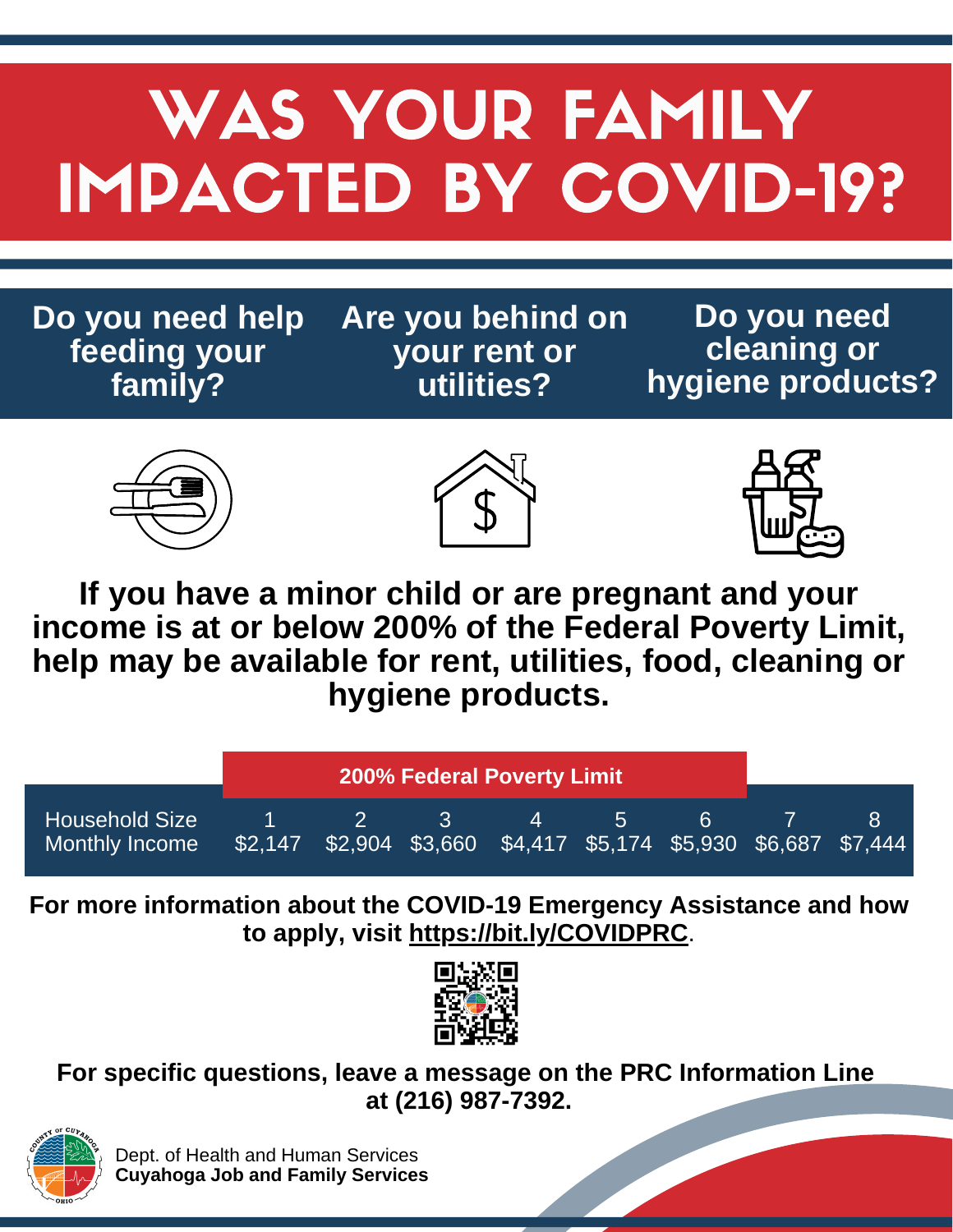## WAS YOUR FAMILY IMPACTED BY COVID-19?

**Do you need help feeding your family?**

**Are you behind on your rent or utilities?**

**Do you need cleaning or hygiene products?**







**If you have a minor child or are pregnant and your income is at or below 200% of the Federal Poverty Limit, help may be available for rent, utilities, food, cleaning or hygiene products.**

|                                         | <b>200% Federal Poverty Limit</b> |  |                                                                                             |              |              |              |  |
|-----------------------------------------|-----------------------------------|--|---------------------------------------------------------------------------------------------|--------------|--------------|--------------|--|
| <b>Household Size</b><br>Monthly Income |                                   |  | <b>THE REAL PROPERTY</b><br>\$2,147 \$2,904 \$3,660 \$4,417 \$5,174 \$5,930 \$6,687 \$7,444 | $\mathbf{A}$ | $\mathbf{h}$ | $\mathbf{6}$ |  |

**For more information about the COVID-19 Emergency Assistance and how to apply, visit <https://bit.ly/COVIDPRC>**.



**For specific questions, leave a message on the PRC Information Line at (216) 987-7392.**



Dept. of Health and Human Services **Cuyahoga Job and Family Services**